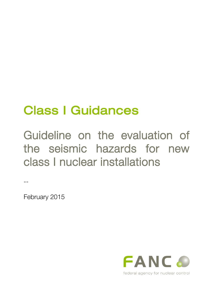# Class I Guidances

Guideline on the evaluation of the seismic hazards for new class I nuclear installations

February 2015

--

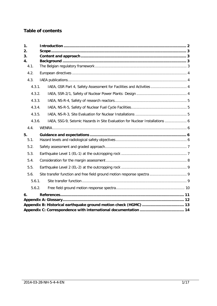## **Table of contents**

| 1.       |        |                                                                              |  |  |  |  |
|----------|--------|------------------------------------------------------------------------------|--|--|--|--|
| 2.<br>3. |        |                                                                              |  |  |  |  |
| 4.       |        |                                                                              |  |  |  |  |
|          | 4.1.   |                                                                              |  |  |  |  |
|          | 4.2.   |                                                                              |  |  |  |  |
|          | 4.3.   |                                                                              |  |  |  |  |
|          | 4.3.1. | IAEA, GSR Part 4, Safety Assessment for Facilities and Activities  4         |  |  |  |  |
|          | 4.3.2. |                                                                              |  |  |  |  |
|          | 4.3.3. |                                                                              |  |  |  |  |
|          | 4.3.4. |                                                                              |  |  |  |  |
|          | 4.3.5. |                                                                              |  |  |  |  |
|          | 4.3.6. | IAEA, SSG-9, Seismic Hazards in Site Evaluation for Nuclear Installations  6 |  |  |  |  |
|          | 4.4.   |                                                                              |  |  |  |  |
| 5.       |        |                                                                              |  |  |  |  |
|          | 5.1.   |                                                                              |  |  |  |  |
|          | 5.2.   |                                                                              |  |  |  |  |
|          | 5.3.   |                                                                              |  |  |  |  |
|          | 5.4.   |                                                                              |  |  |  |  |
|          | 5.5.   |                                                                              |  |  |  |  |
|          | 5.6.   |                                                                              |  |  |  |  |
|          | 5.6.1. |                                                                              |  |  |  |  |
|          | 5.6.2. |                                                                              |  |  |  |  |
| 6.       |        |                                                                              |  |  |  |  |
|          |        |                                                                              |  |  |  |  |
|          |        |                                                                              |  |  |  |  |
|          |        |                                                                              |  |  |  |  |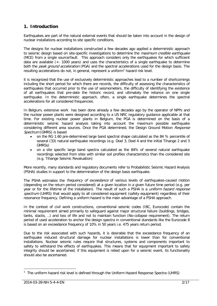## <span id="page-2-0"></span>**1. Introduction**

Earthquakes are part of the natural external events that should be taken into account in the design of nuclear installations according to site specific conditions.

The designs for nuclear installations constructed a few decades ago applied a deterministic approach to seismic design based on site-specific investigations to determine the *maximum credible earthquake* (MCE) from a single source/fault. This approach considers only the earthquakes for which sufficient data are available (+- 1000 years) and uses the characteristics of a single earthquake to determine both the peak ground acceleration (PGA) and the spectral accelerations used for the design basis. The resulting accelerations do not, in general, represent a uniform<sup>[1](#page-2-1)</sup> hazard risk level.

it is recognized that the use of exclusively deterministic approaches lead to a number of shortcomings including the short period for which there are records, the difficulty of assessing the characteristics of earthquakes that occurred prior to the use of [seismometers,](http://en.wikipedia.org/wiki/Seismometer) the difficulty of identifying the existence of all earthquakes that pre-date the historic record, and ultimately the reliance on one single earthquake. In the deterministic approach, often, a single earthquake determines the spectral accelerations for all considered frequencies.

In Belgium, extensive work has been done already a few decades ago by the operator of NPPs and the nuclear power plants were designed according to a US NRC regulatory guidance applicable at that time. For existing nuclear power plants in Belgium, the PGA is determined on the basis of a deterministic seismic hazard analysis taking into account the maximum possible earthquake considering different area sources. Once the PGA determined, the Design Ground Motion Response Spectrum (GMRS) is based

- on the RG 1.60 pre-determined large band spectral shape calculated as the 84 % percentile of several (33) natural earthquake recordings (e.g. Doel 3, Doel 4 and the initial Tihange 2 and 3 GMRSs)
- on a site specific large band spectra calculated as the 84% of several natural earthquake recordings selected from sites with similar soil profiles characteristics than the considered site (e.g. Tihange Seismic Revaluation)

More recently, many standards and regulatory documents refer to Probabilistic Seismic Hazard Analysis (PSHA) studies in support to the determination of the design basis earthquake.

The PSHA estimates the *frequency of exceedance* of various levels of earthquakes-caused motion (depending on the return period considered) at a given location in a given future time period (e.g. per year or for the lifetime of the installation). The result of such a PSHA is a *uniform hazard response* spectrum (UHRS) that would apply to all considered equipment (safety equipment) regardless of their resonance frequency. Defining a uniform hazard is the main advantage of a PSHA approach.

In the context of civil work constructions, conventional seismic codes (IBC, Eurocode) contain the minimal requirement aimed primarily to safeguard against major structural failure (buildings, bridges, tanks, stacks, ..) and loss of life and not to maintain function (No-collapse requirement). The return period of used acceleration to anchor the design spectra in conventional standards like the Eurocode 8 is based on an exceedance frequency of 10% in 50 years i.e. 475 years return period.

Due to the risk associated with such hazards, it is desirable that the exceedance frequency of an earthquake induced structural damage for nuclear installations is lower than for conventional installations. Nuclear seismic rules require that structures, systems and components important to safety to withstand the effects of earthquakes. This means that for equipment important to safety integrity should be ascertained; if this equipment is relied upon for a seismic event, its functionality should also be ascertained.

<span id="page-2-1"></span><sup>&</sup>lt;sup>1</sup> The uniform hazard risk level is defined through the Uniform Hazard Response Spectra (UHRS)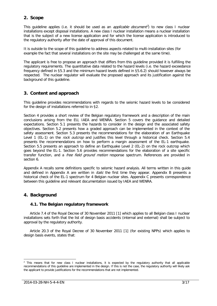## <span id="page-3-0"></span>**2. Scope**

This guideline applies (i.e. it should be used as an *applicable document*<sup>2</sup>) to new class I nuclear installations except disposal installations. A new class I nuclear installation means a nuclear installation that is the subject of a new license application and for which the license application is introduced to the regulatory authority after the date of approval of this document.

It is outside to the scope of this guideline to address aspects related to multi-installation sites (for example the fact that several installations on the site may be challenged at the same time).

The applicant is free to propose an approach that differs from this guideline provided it is fulfilling the regulatory requirements. The quantitative data related to the hazard levels (i.e. the hazard exceedance frequency defined in [§5.3](#page-7-2) and the minimum hazard levels defined in [§5.6.2\)](#page-10-0) should however always be respected. The nuclear regulator will evaluate the proposed approach and its justification against the background of this guideline.

## <span id="page-3-1"></span>**3. Content and approach**

This guideline provides recommendations with regards to the seismic hazard levels to be considered for the design of installations referred to in [§2.](#page-3-0)

Section 4 provides a short review of the Belgian regulatory framework and a description of the main conclusions arising from the EU, IAEA and WENRA. Section 5 covers the guidance and detailed expectations. Section [5.1](#page-6-3) presents the hazards to consider in the design and the associated safety objectives. Section [5.2](#page-7-3) presents how a graded approach can be implemented in the context of the safety assessment. Section [5.3](#page-7-2) presents the recommendations for the elaboration of an Earthquake Level 1 (EL-1) on the *rock outcrop* and justifies this level through a historical check. Section [5.4](#page-8-1) presents the recommendations on how to perform a margin assessment of the EL-1 earthquake. Section [5.5](#page-9-0) presents an approach to define an Earthquake Level 2 (EL-2) on the rock outcrop which goes beyond the EL-1. Section [5.6](#page-9-1) provides recommendations for the elaboration of a site specific transfer function, and a *free field ground motion* response spectrum. References are provided in section 6.

Appendix A recalls some definitions specific to seismic hazard analysis. All terms written in this guide and defined in Appendix A are written in *italic* the first time they appear. Appendix B presents a historical check of the EL-1 spectrum for 4 Belgian nuclear sites. Appendix C presents correspondence between this guideline and relevant documentation issued by IAEA and WENRA.

## <span id="page-3-2"></span>**4. Background**

#### <span id="page-3-3"></span>**4.1. The Belgian regulatory framework**

Article 7.4 of the Royal Decree of 30 November 2011 [\[1\]](#page-11-1) which applies to all Belgian class I nuclear installations sets forth that the list of design basis accidents (internal and external) shall be subject to approval by the regulatory authority.

Article 20.3 of the Royal Decree of 30 November 2011 [\[1\]](#page-11-1) (for existing NPPs) which applies to design basis events, states that:

 $2$  This means that for new class I nuclear installations, it is expected by the regulatory authority that all applicable recommendations of this guideline are implemented in the design. If this is not the case, the regulatory authority will likely ask the applicant to provide justifications for the recommendations that are not implemented.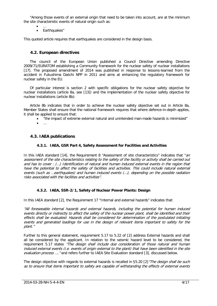"Among those events of an external origin that need to be taken into account, are at the minimum the site characteristic events of natural origin such as:

- …
- Earthquakes"

This quoted article requires that earthquakes are considered in the design basis.

#### <span id="page-4-0"></span>**4.2. European directives**

The council of the European Union published a Council Directive amending Directive 2009/71/EURATOM establishing a Community framework for the nuclear safety of nuclear installations [\[17\].](#page-11-2) The proposed amendment of 2014 was published in response to lessons-learned from the accident in Fukushima Daiichi NPP in 2011 and aims at enhancing the regulatory framework for nuclear safety in the EU.

Of particular interest is section 2 with specific obligations for the nuclear safety objective for nuclear installations (article 8a, see [\[13\]\)](#page-11-3) and the implementation of the nuclear safety objective for nuclear installations (article 8b):

Article 8b indicates that in order to achieve the nuclear safety objective set out in Article 8a, Member States shall ensure that the national framework requires that where defence-in-depth applies, it shall be applied to ensure that:

- "the impact of extreme external natural and unintended man-made hazards is minimized"
- $\bullet$  …

#### <span id="page-4-2"></span><span id="page-4-1"></span>**4.3. IAEA publications**

#### **4.3.1. IAEA, GSR Part 4, Safety Assessment for Facilities and Activities**

In this IAEA standard [\[14\],](#page-11-4) the Requirement 8 "Assessment of site characteristics" indicates that "an assessment of the site characteristics relating to the safety of the facility or activity shall be carried out and has to cover : (…) Identification of natural and human induced external events in the region that have the potential to affect the safety of facilities and activities. This could include natural external events (such as …earthquakes) and human induced events (…), depending on the possible radiation risks associated with the facilities and activities".

#### <span id="page-4-3"></span>**4.3.2. IAEA, SSR-2/1, Safety of Nuclear Power Plants: Design**

In this IAEA standard [\[2\],](#page-11-5) the Requirement 17 "Internal and external hazards" indicates that:

"All foreseeable internal hazards and external hazards, including the potential for human induced events directly or indirectly to affect the safety of the nuclear power plant, shall be identified and their effects shall be evaluated. Hazards shall be considered for determination of the postulated initiating events and generated loadings for use in the design of relevant items important to safety for the plant."

Further to this general statement, requirement 5.17 to 5.22 of [\[2\]](#page-11-5) address External hazards and shall all be considered by the applicant. In relation to the seismic hazard level to be considered, the requirement 5.17 states "The design shall include due consideration of those natural and human induced external events (i.e. events of origin external to the plant) that have been identified in the site evaluation process .... " and refers further to IAEA Site Evaluation standard [\[3\],](#page-11-6) discussed below.

The design objective with regards to external hazards is recalled in §5.20 [\[2\]](#page-11-5) "The design shall be such as to ensure that items important to safety are capable of withstanding the effects of external events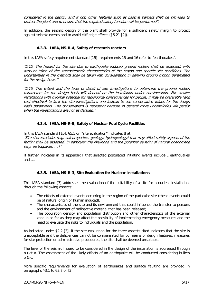considered in the design, and if not, other features such as passive barriers shall be provided to protect the plant and to ensure that the required safety function will be performed".

<span id="page-5-0"></span>In addition, the seismic design of the plant shall provide for a sufficient safety margin to protect against seismic events and to avoid cliff edge effects (§5.21 [\[2\]\)](#page-11-5).

#### **4.3.3. IAEA, NS-R-4, Safety of research reactors**

In this IAEA safety requirement standard [\[15\],](#page-11-7) requirements 15 and 16 refer to "earthquakes".

"5.15. The hazard for the site due to earthquake induced ground motion shall be assessed, with account taken of the seismotectonic characteristics of the region and specific site conditions. The uncertainties in the methods shall be taken into consideration in deriving ground motion parameters for the design basis."

"5.16. The extent and the level of detail of site investigations to determine the ground motion parameters for the design basis will depend on the installation under consideration. For smaller installations with minimal potential for radiological consequences for people, it may be preferable (and cost-effective) to limit the site investigations and instead to use conservative values for the design basis parameters. The conservatism is necessary because in general more uncertainties will persist when the investigations are not as detailed."

#### <span id="page-5-1"></span>**4.3.4. IAEA, NS-R-5, Safety of Nuclear Fuel Cycle Facilities**

In this IAEA standard [\[16\],](#page-11-8) §5.5 on "site evaluation" indicates that:

"Site characteristics (e.g. soil properties, geology, hydrogeology) that may affect safety aspects of the facility shall be assessed, in particular the likelihood and the potential severity of natural phenomena (e.g. earthquakes, ….)"

<span id="page-5-2"></span>If further indicates in its appendix I that selected postulated initiating events include …earthquakes and ….

#### **4.3.5. IAEA, NS-R-3, Site Evaluation for Nuclear Installations**

This IAEA standard [\[3\]](#page-11-6) addresses the evaluation of the suitability of a site for a nuclear installation, through the following aspects:

- The effects of external events occurring in the region of the particular site (these events could be of natural origin or human induced);
- The characteristics of the site and its environment that could influence the transfer to persons and the environment of radioactive material that has been released;
- The population density and population distribution and other characteristics of the external zone in so far as they may affect the possibility of implementing emergency measures and the need to evaluate the risks to individuals and the population.

As indicated under §2.2 [\[3\],](#page-11-6) if the site evaluation for the three aspects cited indicates that the site is unacceptable and the deficiencies cannot be compensated for by means of design features, measures for site protection or administrative procedures, the site shall be deemed unsuitable.

The level of the seismic hazard to be considered in the design of the installation is addressed through bullet a. The assessment of the likely effects of an earthquake will be conducted considering bullets  $h$  & c.

More specific requirements for evaluation of earthquakes and surface faulting are provided in paragraphs §3.1 to §3.7 of [\[3\].](#page-11-6)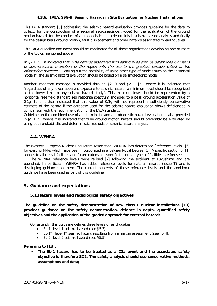#### **4.3.6. IAEA, SSG-9, Seismic Hazards in Site Evaluation for Nuclear Installations**

<span id="page-6-0"></span>This IAEA standard [\[5\]](#page-11-9) addressing the seismic hazard evaluation provides guideline for the data to collect, for the construction of a regional *seismotectonic model*, for the evaluation of the ground motion hazard, for the conduct of a probabilistic and a deterministic seismic hazard analysis and finally for the design basis ground motion, fault displacement and other hazards associated to earthquakes.

This IAEA guideline document should be considered for all those organizations developing one or more of the topics mentioned above.

In §2.1 [\[5\],](#page-11-9) it indicated that "The hazards associated with earthquakes shall be determined by means of seismotectonic evaluation of the region with the use to the greatest possible extent of the information collected.", leaving out the possibility of using other type of models such as the "historical models": the seismic hazard evaluation should be based on a seismotectonic model.

Another important message is provided through §2.10 and §2.11 [\[5\],](#page-11-9) where it is indicated that "regardless of any lower apparent exposure to seismic hazard, a minimum level should be recognized as the lower limit to any seismic hazard study". This minimum level should be represented by a horizontal free field standardized response spectrum anchored to a peak ground acceleration value of 0.1g. It is further indicated that this value of 0.1g will not represent a sufficiently conservative estimate of the hazard if the database used for the seismic hazard evaluation shows deficiencies in comparison with the recommendation of the IAEA standard.

Guideline on the combined use of a deterministic and a probabilistic hazard evaluation is also provided in §5.1 [\[5\]](#page-11-9) where it is indicated that "The ground motion hazard should preferably be evaluated by using both probabilistic and deterministic methods of seismic hazard analysis.

#### <span id="page-6-1"></span>**4.4. WENRA**

The Western European Nuclear Regulators Association, WENRA, has determined ´reference levels` [\[6\]](#page-11-10) for existing NPPs which have been incorporated in a Belgian Royal Decree [\[1\].](#page-11-1) A specific section of [\[1\]](#page-11-1) applies to all class I facilities and future extensions specific to certain types of facilities are foreseen.

The WENRA reference levels were revised [\[7\]](#page-11-11) following the accident at Fukushima and are published. In particular, WENRA has added reference levels for natural hazards (issue T) and is developing guidance on them. The current concepts of these reference levels and the additional guidance have been used as part of this guideline.

#### <span id="page-6-2"></span>**5. Guidance and expectations**

#### <span id="page-6-3"></span>**5.1.Hazard levels and radiological safety objectives**

**The guideline on the safety demonstration of new class I nuclear installations [\[13\]](#page-11-3) provides guidance on the safety demonstration, defence in depth, quantified safety objectives and the application of the graded approach for external hazards.**

Consistently, this guideline defines three levels of earthquakes:

- EL-1: level 1 seismic hazard (see [§5.3\)](#page-7-2);
- EL-1<sup>\*</sup>: level 1<sup>\*</sup> seismic hazard resulting from a margin assessment (see [§5.4\)](#page-8-1);
- EL-2: level 2 seismic hazard (see [§5.5\)](#page-9-0).

#### **Referring to [\[13\]:](#page-11-3)**

• **The EL-1 hazard has to be treated as a C3a event and the associated safety objective is therefore SO2. The safety analysis should use conservative methods, assumptions and data;**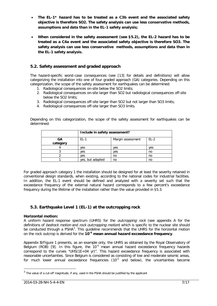- **The EL-1\* hazard has to be treated as a C3b event and the associated safety objective is therefore SO2. The safety analysis can use less conservative methods, assumptions and data than in the EL-1 safety analysis;**
- **When considered in the safety assessment (see [§5.2\)](#page-7-3), the EL-2 hazard has to be treated as a C4a event and the associated safety objective is therefore SO3. The safety analysis can use less conservative methods, assumptions and data than in the EL-1 safety analysis.**

## <span id="page-7-3"></span><span id="page-7-0"></span>**5.2. Safety assessment and graded approach**

The hazard-specific worst-case consequences (see [\[13\]](#page-11-3) for details and definitions) will allow categorizing the installation into one of four graded approach (GA) categories. Depending on this categorization, the scope of the safety assessment for earthquakes can be determined:

- 1. Radiological consequences on-site below the SO2 limits;
- 2. Radiological consequences on-site larger than SO2 but radiological consequences off-site below the SO2 limits;
- 3. Radiological consequences off-site larger than SO2 but not larger than SO3 limits;
- 4. Radiological consequences off-site larger than SO3 limits.

Depending on this categorization, the scope of the safety assessment for earthquakes can be determined:

|                | Include in safety assessment? |                   |        |
|----------------|-------------------------------|-------------------|--------|
| GA<br>category | $EL-1$                        | Margin assessment | $EL-2$ |
|                | ves                           | ves               | ves    |
|                | ves                           | ves               | no     |
|                | ves                           | no                | no     |
|                | yes, but adapted              | no                | no     |

For graded approach category 1 the installation should be designed for at least the severity retained in conventional design standards, when existing, according to the national codes for industrial facilities. In addition, the EL-1 event should be defined and analyzed with a severity set such that the exceedance frequency of the external natural hazard corresponds to a few percent's exceedance frequency during the lifetime of the installation rather than the value provided in [§5.3.](#page-7-2)

#### <span id="page-7-2"></span><span id="page-7-1"></span>**5.3. Earthquake Level 1 (EL-1) at the outcropping rock**

#### **Horizontal motion:**

A uniform hazard response spectrum (UHRS) for the *outcropping rock* (see appendix A for the definitions of *bedrock motion* and *rock outcropping motion*) which is specific to the nuclear site should be conducted through a PSHA<sup>[3](#page-7-4)</sup>. This guideline recommends that the UHRS for the horizontal motion on the rock outcrop is derived for the **10-4 mean annual hazard exceedance frequency**.

Appendix B/Figure 1 presents, as an example only, the UHRS as obtained by the Royal Observatory of Belgium (ROB) [\[9\].](#page-11-12) In this figure, the  $10^{-4}$  mean annual hazard exceedance frequency hazards correspond to the curves "UHS(1E+04 yr)". This hazard exceedance frequency is associated with reasonable uncertainties. Since Belgium is considered as consisting of low and moderate seismic areas, for much lower annual exceedance frequencies  $(10^{-5}$  and below), the uncertainties become

<span id="page-7-4"></span> $3$  The value of a cut-off magnitude, if any, used in the PSHA should be justified by the applicant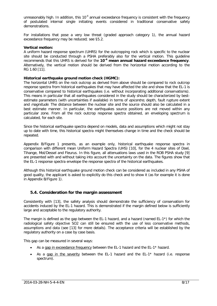unreasonably high. In addition, this  $10^{-4}$  annual exceedance frequency is consistent with the frequency of postulated internal single initiating events considered in traditional conservative safety demonstrations.

For installations that pose a very low threat (graded approach category 1), the annual hazard exceedance frequency may be reduced; see [§5.2.](#page-7-3)

#### **Vertical motion:**

A uniform hazard response spectrum (UHRS) for the outcropping rock which is specific to the nuclear site should be conducted through a PSHA preferably also for the vertical motion. This guideline recommends that this UHRS is derived for the **10-4 mean annual hazard exceedance frequency**. Alternatively, the vertical motion should be derived from the horizontal motion according to the RG 1.60 [\[11\].](#page-11-13)

#### **Historical earthquake ground motion check (HGMC):**

The horizontal UHRS on the rock outcrop as derived from above should be compared to rock outcrop response spectra from historical earthquakes that may have affected the site and show that the EL-1 is conservative compared to historical earthquakes (i.e. without incorporating additional conservatisms). This means in particular that all earthquakes considered in the study should be characterized by bestestimate parameters (with uncertainties if available) in terms of *epicentre*, depth, fault rupture extent and *magnitude*. The distance between the nuclear site and the source should also be calculated in a best estimate manner. In particular, the earthquakes source positions are not moved within any particular zone. From all the rock outcrop response spectra obtained, an enveloping spectrum is calculated, for each site.

Since the historical earthquake spectra depend on models, data and assumptions which might not stay up to date with time, this historical spectra might themselves change in time and the check should be repeated.

Appendix B/Figure 1 presents, as an example only, historical earthquake response spectra in comparison with different mean Uniform Hazard Spectra (UHS) [\[10\],](#page-11-14) for the 4 nuclear sites of Doel, Tihange, Mol/Dessel and Fleurus. In this figure, all attenuations laws used in the ROB PSHA study [\[9\]](#page-11-12) are presented with and without taking into account the uncertainty on the data. The figures show that the EL-1 response spectra envelope the response spectra of the historical earthquakes.

Although this historical earthquake ground motion check can be considered as included in any PSHA of good quality, the applicant is asked to explicitly do this check and to show it (as for example it is done in Appendix B/Figure 1).

#### <span id="page-8-1"></span><span id="page-8-0"></span>**5.4. Consideration for the margin assessment**

Consistently with [\[13\],](#page-11-3) the safety analysis should demonstrate the sufficiency of conservatism for accidents induced by the EL-1 hazard. This is demonstrated if the margin defined below is sufficiently large and acceptable to the regulatory authority.

The margin is defined as the gap between the EL-1 hazard, and a hazard (named EL-1\*) for which the radiological safety objective SO2 can still be ensured with the use of less conservative methods, assumptions and data (see [\[13\]](#page-11-3) for more details). The acceptance criteria will be established by the regulatory authority on a case by case basis.

This gap can be measured in several ways:

- As a gap in exceedance frequency between the EL-1 hazard and the EL-1\* hazard.
- As a gap in the severity between the EL-1 hazard and the EL-1 $*$  hazard (i.e. response spectrum).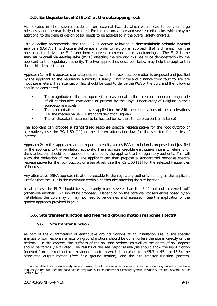## <span id="page-9-0"></span>**5.5. Earthquake Level 2 (EL-2) at the outcropping rock**

As indicated in [\[13\],](#page-11-3) severe accidents from external hazards which would lead to early or large releases should be practically eliminated. For this reason, a rare and severe earthquake, which may be additional to the general design basis, needs to be addressed in the overall safety analysis.

This guideline recommends that the EL-2 is derived following a **deterministic seismic hazard analysis** (DSHA). This choice is deliberate in order to rely on an approach that is different from the one used to derive the EL-1 and hence prevent common cause shortcomings. The EL-2 is the **maximum credible earthquake (MCE)** affecting the site and this has to be demonstration by the applicant to the regulatory authority. The two approaches described below may help the applicant in doing this demonstration.

Approach 1: In this approach, an attenuation law for the rock outcrop motion is proposed and justified by the applicant to the regulatory authority. Usually, *magnitude* and distance from fault to site are input parameters. This attenuation law should be used to derive the PGA of the EL-2 and the following should be considered:

- The magnitude of the earthquake is at least equal to the maximum observed magnitude of all earthquakes considered at present by the Royal Observatory of Belgium in their source-zone models;
- The selected attenuation law is applied for the 84th percentile values of the accelerations  $(i.e.$  the median value  $+1$  standard deviation 'sigma')
- The earthquake is assumed to be located below the site (zero epicentral distance).

The applicant can propose a standardized response spectra representative for the rock outcrop or alternatively use the RG 1.60 [\[11\]](#page-11-13) or the chosen attenuation law for the selected frequencies of interest.

Approach 2: In this approach, an earthquake intensity versus PGA correlation is proposed and justified by the applicant to the regulatory authority. The maximum credible earthquake intensity relevant for the site location should be proposed and justified by the applicant to the regulatory authority. This will allow the derivation of the PGA. The applicant can then propose a standardized response spectra representative for the rock outcrop or alternatively use the RG 1.60 [\[11\]](#page-11-13) for the selected frequencies of interest.

Any alternative DSHA approach is also acceptable to the regulatory authority as long as the applicant justifies that the EL-2 is the maximum credible earthquake affecting the site location.

In all cases, the EL-2 should be significantly more severe than the EL-1 but not screened out<sup>[4](#page-9-3)</sup> (otherwise another EL-2 should be proposed). Depending on the potential consequences posed by an installation, the EL-2 may or may not need to be defined and assessed. See the application of the graded approach provided in [§5.2.](#page-7-3)

#### <span id="page-9-2"></span><span id="page-9-1"></span>**5.6. Site transfer function and free field ground motion response spectra**

#### **5.6.1. Site transfer function**

As part of the quantification of earthquake ground motions at an installation site, a site specific analysis of soil response effects on ground motions should be done (unless the site is directly on the bedrock). In this context, the stiffness of the soil and bedrock as well as the depth of soil deposit should be carefully evaluated. The results of the *site response* analysis should show the input motion (derived from the rock outcrop response spectrum which is obtained from [§5.3](#page-7-2) or [§5.4](#page-8-1) or [§5.5\)](#page-9-0), the associated output motion (free field ground motion), and the site transfer function (spectral

<span id="page-9-3"></span><sup>&</sup>lt;sup>4</sup> If a candidate EL-2 is excessively severe making it not credible or equivalently, if its corresponding annual exceedance frequency is too low, then this candidate earthquake could be screened out coherently with "Position 6: External hazards" of the WENRA Re[f \[8\]](#page-11-15)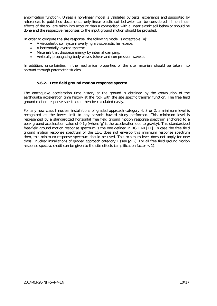amplification function). Unless a non-linear model is validated by tests, experience and supported by references to published documents, only linear elastic soil behavior can be considered. If non-linear effects of the soil are taken into account than a comparison with a linear elastic soil behavior should be done and the respective responses to the input ground motion should be provided.

In order to compute the site response, the following model is acceptable [\[4\]:](#page-11-16)

- A viscoelastic soil system overlying a viscoelastic half-space;
- A horizontally layered system;
- Materials that dissipate energy by internal damping;
- Vertically propagating body waves (shear and compression waves).

<span id="page-10-0"></span>In addition, uncertainties in the mechanical properties of the site materials should be taken into account through parametric studies.

#### **5.6.2. Free field ground motion response spectra**

The earthquake acceleration time history at the ground is obtained by the convolution of the earthquake acceleration time history at the rock with the site specific transfer function. The free field ground motion response spectra can then be calculated easily.

For any new class I nuclear installations of graded approach category 4, 3 or 2, a minimum level is recognized as the lower limit to any seismic hazard study performed. This minimum level is represented by a standardized horizontal free field ground motion response spectrum anchored to a peak ground acceleration value of 0.1g (where 'g' is the acceleration due to gravity). This standardized free-field ground motion response spectrum is the one defined in RG 1.60 [\[11\].](#page-11-13) In case the free field ground motion response spectrum of the EL-1 does not envelop this minimum response spectrum then, this minimum response spectrum should be used. This minimum level does not apply for new class I nuclear installations of graded approach category 1 (see [§5.2\)](#page-7-3). For all free field ground motion response spectra, credit can be given to the site effects (amplification factor < 1).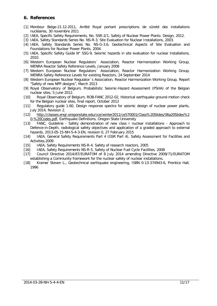## <span id="page-11-0"></span>**6. References**

- <span id="page-11-1"></span>[1] Moniteur Belge-21.12.2011, Arrêté Royal portant prescriptions de sûreté des installations nucléaires, 30 novembre 2011
- <span id="page-11-5"></span>[2] IAEA, Specific Safety Requirements, No. SSR-2/1, Safety of Nuclear Power Plants: Design, 2012.
- <span id="page-11-6"></span>[3] IAEA, Safety Standards Series No. NS-R-3, Site Evaluation for Nuclear Installations, 2003.
- <span id="page-11-16"></span>[4] IAEA, Safety Standards Series No. NS-G-3.6, Geotechnical Aspects of Site Evaluation and Foundations for Nuclear Power Plants, 2004.
- <span id="page-11-9"></span>[5] IAEA, Specific Safety Guide N° SSG-9, Seismic hazards in site evaluation for nuclear installations, 2010.
- <span id="page-11-10"></span>[6] Western European Nuclear Regulators´ Association, Reactor Harmonization Working Group, WENRA Reactor Safety Reference Levels, January 2008
- <span id="page-11-11"></span>[7] Western European Nuclear Regulators Association, Reactor Harmonization Working Group, WENRA Safety Reference Levels for existing Reactors, 24 September 2014
- <span id="page-11-15"></span>[8] Western European Nuclear Regulator´s Association, Reactor Harmonization Working Group, Report "Safety of new NPP designs", March 2013
- <span id="page-11-12"></span>[9] Royal Observatory of Belgium, Probabilistic Seismic-Hazard Assessment (PSHA) of the Belgian nuclear sites, 5 June 2012.
- <span id="page-11-14"></span>[10] Royal Observatory of Belgium, ROB-FANC 2012-02, Historical earthquake ground-motion check for the Belgian nuclear sites, final report, October 2012
- <span id="page-11-13"></span>[11] Regulatory guide 1.60, Design response spectra for seismic design of nuclear power plants, July 2014, Revision 2.
- <span id="page-11-18"></span>[12] [http://classes.engr.oregonstate.edu/cce/winter2011/ce570001/Class%20Slides/06a20Slides%2](http://classes.engr.oregonstate.edu/cce/winter2011/ce570001/Class%20Slides/06a20Slides%20-%20Codes.pdf) [0-%20Codes.pdf,](http://classes.engr.oregonstate.edu/cce/winter2011/ce570001/Class%20Slides/06a20Slides%20-%20Codes.pdf) Earthquake Definitions, [Oregon State University](http://en.wikipedia.org/wiki/Oregon_State_University)
- <span id="page-11-3"></span>[13] FANC, Guideline - Safety demonstration of new class I nuclear installations - Approach to Defence-in-Depth, radiological safety objectives and application of a graded approach to external hazards, 2013-05-15-NH-5-4-3-EN, revision 0, 27 February 2015
- <span id="page-11-4"></span>[14] IAEA, General Safety Requirements Part 4 (GSR Part 4), Safety Assessment for Facilities and Activities,2009
- <span id="page-11-7"></span>[15] IAEA, Safety Requirements NS-R-4, Safety of research reactors, 2005
- <span id="page-11-8"></span>[16] IAEA, Safety Requirements NS-R-5, Safety of Nuclear Fuel Cycle Facilities, 2008
- <span id="page-11-2"></span>[17] Council Directive 2014/87/EURATOM of 8 July 2014 amending Directive 2009/71/EURATOM establishing a Community framework for the nuclear safety of nuclear installations.
- <span id="page-11-17"></span>[18] Kramer Steven L., Geotechnical earthquake engineering, ISBN 0-13-374943-6, Prentice Hall, 1996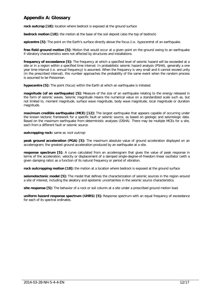## <span id="page-12-0"></span>**Appendix A: Glossary**

**rock outcrop [\[18\]:](#page-11-17)** location where bedrock is exposed at the ground surface

**bedrock motion [\[18\]:](#page-11-17)** the motion at the base of the soil deposit (also the top of bedrock)

**epicentre [\[5\]:](#page-11-9)** The point on the Earth's surface directly above the focus (i.e. hypocentre) of an earthquake.

**free field ground motion [\[5\]:](#page-11-9)** Motion that would occur at a given point on the ground owing to an earthquake if vibratory characteristics were not affected by structures and installations.

**frequency of exceedance [\[5\]:](#page-11-9)** The frequency at which a specified level of seismic hazard will be exceeded at a site or in a region within a specified time interval. In probabilistic seismic hazard analysis (PSHA), generally a one year time interval (i.e. annual frequency) is assumed. When the frequency is very small and it cannot exceed unity (in the prescribed interval), this number approaches the probability of the same event when the random process is assumed to be Poissonian.

**hypocentre [\[5\]:](#page-11-9)** The point (focus) within the Earth at which an earthquake is initiated.

**magnitude (of an earthquake) [\[5\]:](#page-11-9)** Measure of the size of an earthquake relating to the energy released in the form of seismic waves. Seismic magnitude means the numerical value on a standardized scale such as, but not limited to, moment magnitude, surface wave magnitude, body wave magnitude, local magnitude or duration magnitude.

**maximum credible earthquake (MCE) [\[12\]:](#page-11-18)** The largest earthquake that appears capable of occurring under the known tectonic framework for a specific fault or seismic source, as based on geologic and seismologic data. Based on the maximum earthquake from deterministic analyses (DSHA). There may be multiple MCEs for a site, each from a different fault or seismic source.

#### **outcropping rock:** same as rock outcrop

**peak ground acceleration (PGA) [\[5\]:](#page-11-9)** The maximum absolute value of ground acceleration displayed on an accelerogram; the greatest ground acceleration produced by an earthquake at a site.

**response spectrum [\[5\]:](#page-11-9)** A curve calculated from an accelerogram that gives the value of peak response in terms of the acceleration, velocity or displacement of a damped single-degree-of-freedom linear oscillator (with a given damping ratio) as a function of its natural frequency or period of vibration.

**rock outcropping motion [\[18\]:](#page-11-17)** the motion at a location where bedrock is exposed at the ground surface

**seismotectonic model [\[5\]:](#page-11-9)** The model that defines the characterization of seismic sources in the region around a site of interest, including the aleatory and epistemic uncertainties in the seismic source characteristics.

**site response [\[5\]:](#page-11-9)** The behavior of a rock or soil column at a site under a prescribed ground motion load.

**uniform hazard response spectrum (UHRS) [\[5\]:](#page-11-9)** Response spectrum with an equal frequency of exceedance for each of its spectral ordinates.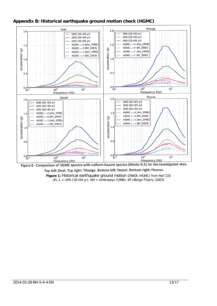<span id="page-13-0"></span>



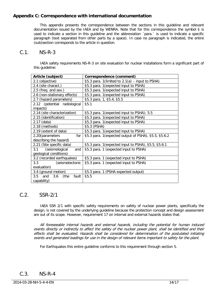## <span id="page-14-0"></span>**Appendix C: Correspondence with international documentation**

This appendix presents the correspondence between the sections in this guideline and relevant documentation issued by the IAEA and by WENRA. Note that for this correspondence the symbol § is used to indicate a section in this guideline and the abbreviation ´para.` is used to indicate a specific paragraph (text separated from other parts by a space). In case no paragraph is indicated, the entire (sub)section corresponds to the article in question.

## C.1. NS-R-3

IAEA safety requirements NS-R-3 on site evaluation for nuclear installations form a significant part of this guideline:

| Article (subject)                 | Correspondence (comment)                             |
|-----------------------------------|------------------------------------------------------|
| 2.1 (objective)                   | §5.3 para. 1(limited to $2.1(a)$ – input to PSHA)    |
| 2.4 (site charact.)               | §5.3 para. 1 (expected input to PSHA)                |
| 2.5 (freq. and sev.)              | §5.3 para. 1 (expected input to PSHA)                |
| 2.6 (non-stationary effects)      | §5.3 para. 1 (expected input to PSHA)                |
| 2.7 (hazard parameters)           | §5.3 para. 1, §5.4, §5.5                             |
| 2.12 (potential radiological      | §5.1                                                 |
| impacts)                          |                                                      |
| 2.14 (site characterization)      | §5.3 para. 1 (expected input to PSHA); 5.5           |
| 2.15 (identification)             | §5.3 para. 1 (expected input to PSHA)                |
| 2.17 (data)                       | §5.3 para. 1 (expected input to PSHA)                |
| 2.18 (methods)                    | §5.3 (PSHA)                                          |
| 2.19 (extent of data)             | §5.3 para. 1 (expected input to PSHA)                |
| 2.20(parameters<br>for            | §5.3 para. 1 (expected output of PSHA), §5.5, §5.6.2 |
| describing the hazard)            |                                                      |
| 2.21 (Site specific data)         | §5.3 para. 1 (expected input to PSHA), §5.5, §5.6.1  |
| (seismological<br>3.1<br>and      | §5.3 para. 1 (expected input to PSHA)                |
| geological conditions)            |                                                      |
| 3.2 (recorded earthquakes)        | §5.3 para. 1 (expected input to PSHA)                |
| 3.3<br>(seismotectonic            | §5.3 para. 1 (expected input to PSHA)                |
| evaluation)                       |                                                      |
| 3.4 (ground motion)               | §5.3 para. 1 (PSHA expected output)                  |
| $3.5$ and<br>3.6<br>(the<br>fault | §5.5                                                 |
| capability)                       |                                                      |

## C.2. SSR-2/1

IAEA SSR 2/1 with specific safety requirements on safety of nuclear power plants, specifically the design, is not covered by the underlying guideline because the protection concept and design assessment are out of its scope. However, requirement 17 on internal and external hazards states that:

All foreseeable internal hazards and external hazards, including the potential for human induced events directly or indirectly to affect the safety of the nuclear power plant, shall be identified and their effects shall be evaluated. Hazards shall be considered for determination of the postulated initiating events and generated loadings for use in the design of relevant items important to safety for the plant.

For Earthquakes this entire guideline conforms to this requirement through section [5.](#page-6-2)

## C.3. NS-R-4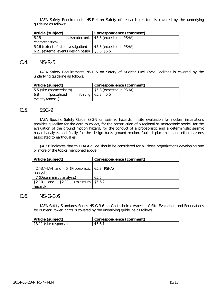IAEA Safety Requirements NS-R-4 on Safety of research reactors is covered by the underlying guideline as follows:

| Article (subject)                   |  | Correspondence (comment)                  |
|-------------------------------------|--|-------------------------------------------|
| 5.15                                |  | (seismotectonic   §5.3 (expected in PSHA) |
| characteristics)                    |  |                                           |
| 5.16 (extent of site investigation) |  | §5.3 (expected in PSHA)                   |
| 6.21 (external events design basis) |  | \$5.3, \$5.5                              |

## C.4. NS-R-5

IAEA Safety Requirements NS-R-5 on Safety of Nuclear Fuel Cycle Facilities is covered by the underlying guideline as follows:

| Article (subject)          | Correspondence (comment)     |
|----------------------------|------------------------------|
| 5.5 (site characteristics) | §5.3 (expected in PSHA)      |
| 6.8<br>(postulated         | initiating $\mid$ §5.3, §5.5 |
| events/Annex I)            |                              |

## C.5. SSG-9

IAEA Specific Safety Guide SSG-9 on seismic hazards in site evaluation for nuclear installations provides guideline for the data to collect, for the construction of a regional seismotectonic model, for the evaluation of the ground motion hazard, for the conduct of a probabilistic and a deterministic seismic hazard analysis and finally for the design basis ground motion, fault displacement and other hazards associated to earthquakes.

§4.3.6 indicates that this IAEA guide should be considered for all those organizations developing one or more of the topics mentioned above:

| Article (subject)                                              | Correspondence (comment) |
|----------------------------------------------------------------|--------------------------|
|                                                                |                          |
| $\S2, \S3, \S4, \S4$ and $\S6$ (Probabilistic   $\S5.3$ (PSHA) |                          |
| analysis)                                                      |                          |
| §7 (Deterministic analysis)                                    | \$5.5                    |
| (minimum<br>and $$2.11$<br>\$2.10                              | \$5.6.2                  |
| hazard)                                                        |                          |

## C.6. NS-G-3.6

IAEA Safety Standards Series NS-G-3.6 on Geotechnical Aspects of Site Evaluation and Foundations for Nuclear Power Plants is covered by the underlying guideline as follows:

| Article (subject)     | Correspondence (comment) |
|-----------------------|--------------------------|
| S3.11 (site response) | \$5.6.1                  |